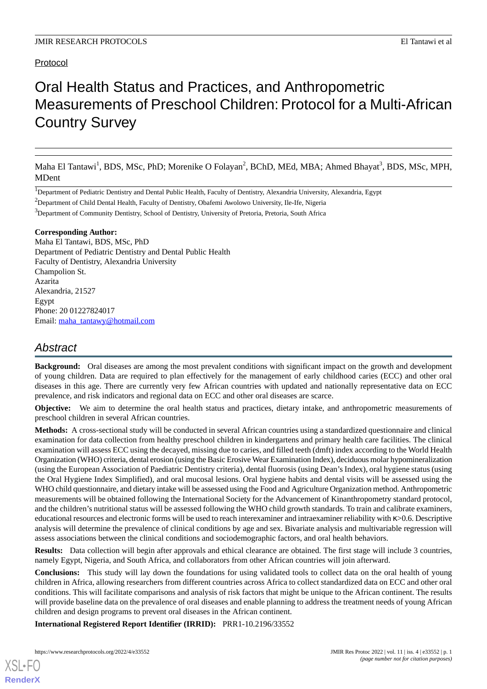# Protocol

# Oral Health Status and Practices, and Anthropometric Measurements of Preschool Children: Protocol for a Multi-African Country Survey

Maha El Tantawi<sup>1</sup>, BDS, MSc, PhD; Morenike O Folayan<sup>2</sup>, BChD, MEd, MBA; Ahmed Bhayat<sup>3</sup>, BDS, MSc, MPH, MDent

<sup>1</sup>Department of Pediatric Dentistry and Dental Public Health, Faculty of Dentistry, Alexandria University, Alexandria, Egypt

<sup>2</sup>Department of Child Dental Health, Faculty of Dentistry, Obafemi Awolowo University, Ile-Ife, Nigeria

<sup>3</sup>Department of Community Dentistry, School of Dentistry, University of Pretoria, Pretoria, South Africa

#### **Corresponding Author:**

Maha El Tantawi, BDS, MSc, PhD Department of Pediatric Dentistry and Dental Public Health Faculty of Dentistry, Alexandria University Champolion St. Azarita Alexandria, 21527 Egypt Phone: 20 01227824017 Email: [maha\\_tantawy@hotmail.com](mailto:maha_tantawy@hotmail.com)

# *Abstract*

**Background:** Oral diseases are among the most prevalent conditions with significant impact on the growth and development of young children. Data are required to plan effectively for the management of early childhood caries (ECC) and other oral diseases in this age. There are currently very few African countries with updated and nationally representative data on ECC prevalence, and risk indicators and regional data on ECC and other oral diseases are scarce.

**Objective:** We aim to determine the oral health status and practices, dietary intake, and anthropometric measurements of preschool children in several African countries.

**Methods:** A cross-sectional study will be conducted in several African countries using a standardized questionnaire and clinical examination for data collection from healthy preschool children in kindergartens and primary health care facilities. The clinical examination will assess ECC using the decayed, missing due to caries, and filled teeth (dmft) index according to the World Health Organization (WHO) criteria, dental erosion (using the Basic Erosive Wear Examination Index), deciduous molar hypomineralization (using the European Association of Paediatric Dentistry criteria), dental fluorosis (using Dean's Index), oral hygiene status (using the Oral Hygiene Index Simplified), and oral mucosal lesions. Oral hygiene habits and dental visits will be assessed using the WHO child questionnaire, and dietary intake will be assessed using the Food and Agriculture Organization method. Anthropometric measurements will be obtained following the International Society for the Advancement of Kinanthropometry standard protocol, and the children's nutritional status will be assessed following the WHO child growth standards. To train and calibrate examiners, educational resources and electronic forms will be used to reach interexaminer and intraexaminer reliability with κ>0.6. Descriptive analysis will determine the prevalence of clinical conditions by age and sex. Bivariate analysis and multivariable regression will assess associations between the clinical conditions and sociodemographic factors, and oral health behaviors.

**Results:** Data collection will begin after approvals and ethical clearance are obtained. The first stage will include 3 countries, namely Egypt, Nigeria, and South Africa, and collaborators from other African countries will join afterward.

**Conclusions:** This study will lay down the foundations for using validated tools to collect data on the oral health of young children in Africa, allowing researchers from different countries across Africa to collect standardized data on ECC and other oral conditions. This will facilitate comparisons and analysis of risk factors that might be unique to the African continent. The results will provide baseline data on the prevalence of oral diseases and enable planning to address the treatment needs of young African children and design programs to prevent oral diseases in the African continent.

**International Registered Report Identifier (IRRID):** PRR1-10.2196/33552

[XSL](http://www.w3.org/Style/XSL)•FO **[RenderX](http://www.renderx.com/)**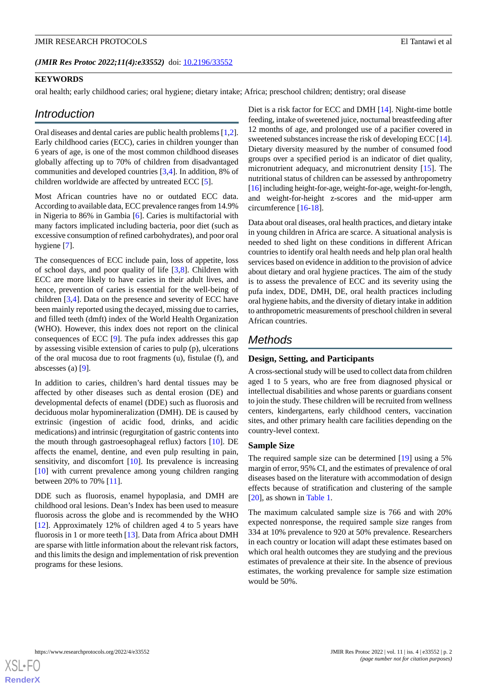#### **KEYWORDS**

oral health; early childhood caries; oral hygiene; dietary intake; Africa; preschool children; dentistry; oral disease

#### *Introduction*

Oral diseases and dental caries are public health problems [[1](#page-5-0),[2\]](#page-5-1). Early childhood caries (ECC), caries in children younger than 6 years of age, is one of the most common childhood diseases globally affecting up to 70% of children from disadvantaged communities and developed countries [[3,](#page-5-2)[4](#page-5-3)]. In addition, 8% of children worldwide are affected by untreated ECC [[5\]](#page-5-4).

Most African countries have no or outdated ECC data. According to available data, ECC prevalence ranges from 14.9% in Nigeria to 86% in Gambia [[6](#page-5-5)]. Caries is multifactorial with many factors implicated including bacteria, poor diet (such as excessive consumption of refined carbohydrates), and poor oral hygiene [[7\]](#page-5-6).

The consequences of ECC include pain, loss of appetite, loss of school days, and poor quality of life [\[3](#page-5-2),[8\]](#page-5-7). Children with ECC are more likely to have caries in their adult lives, and hence, prevention of caries is essential for the well-being of children [\[3](#page-5-2),[4\]](#page-5-3). Data on the presence and severity of ECC have been mainly reported using the decayed, missing due to carries, and filled teeth (dmft) index of the World Health Organization (WHO). However, this index does not report on the clinical consequences of ECC [\[9\]](#page-5-8). The pufa index addresses this gap by assessing visible extension of caries to pulp (p), ulcerations of the oral mucosa due to root fragments (u), fistulae (f), and abscesses (a) [\[9](#page-5-8)].

In addition to caries, children's hard dental tissues may be affected by other diseases such as dental erosion (DE) and developmental defects of enamel (DDE) such as fluorosis and deciduous molar hypomineralization (DMH). DE is caused by extrinsic (ingestion of acidic food, drinks, and acidic medications) and intrinsic (regurgitation of gastric contents into the mouth through gastroesophageal reflux) factors [[10\]](#page-5-9). DE affects the enamel, dentine, and even pulp resulting in pain, sensitivity, and discomfort [[10\]](#page-5-9). Its prevalence is increasing [[10\]](#page-5-9) with current prevalence among young children ranging between 20% to 70% [[11\]](#page-5-10).

DDE such as fluorosis, enamel hypoplasia, and DMH are childhood oral lesions. Dean's Index has been used to measure fluorosis across the globe and is recommended by the WHO [[12\]](#page-5-11). Approximately 12% of children aged 4 to 5 years have fluorosis in 1 or more teeth [\[13](#page-5-12)]. Data from Africa about DMH are sparse with little information about the relevant risk factors, and this limits the design and implementation of risk prevention programs for these lesions.

Diet is a risk factor for ECC and DMH [\[14](#page-5-13)]. Night-time bottle feeding, intake of sweetened juice, nocturnal breastfeeding after 12 months of age, and prolonged use of a pacifier covered in sweetened substances increase the risk of developing ECC [\[14](#page-5-13)]. Dietary diversity measured by the number of consumed food groups over a specified period is an indicator of diet quality, micronutrient adequacy, and micronutrient density [[15\]](#page-6-0). The nutritional status of children can be assessed by anthropometry [[16\]](#page-6-1) including height-for-age, weight-for-age, weight-for-length, and weight-for-height z-scores and the mid-upper arm circumference [[16-](#page-6-1)[18\]](#page-6-2).

Data about oral diseases, oral health practices, and dietary intake in young children in Africa are scarce. A situational analysis is needed to shed light on these conditions in different African countries to identify oral health needs and help plan oral health services based on evidence in addition to the provision of advice about dietary and oral hygiene practices. The aim of the study is to assess the prevalence of ECC and its severity using the pufa index, DDE, DMH, DE, oral health practices including oral hygiene habits, and the diversity of dietary intake in addition to anthropometric measurements of preschool children in several African countries.

# *Methods*

### **Design, Setting, and Participants**

A cross-sectional study will be used to collect data from children aged 1 to 5 years, who are free from diagnosed physical or intellectual disabilities and whose parents or guardians consent to join the study. These children will be recruited from wellness centers, kindergartens, early childhood centers, vaccination sites, and other primary health care facilities depending on the country-level context.

#### **Sample Size**

The required sample size can be determined [\[19](#page-6-3)] using a 5% margin of error, 95% CI, and the estimates of prevalence of oral diseases based on the literature with accommodation of design effects because of stratification and clustering of the sample [[20\]](#page-6-4), as shown in [Table 1](#page-2-0).

The maximum calculated sample size is 766 and with 20% expected nonresponse, the required sample size ranges from 334 at 10% prevalence to 920 at 50% prevalence. Researchers in each country or location will adapt these estimates based on which oral health outcomes they are studying and the previous estimates of prevalence at their site. In the absence of previous estimates, the working prevalence for sample size estimation would be 50%.

[XSL](http://www.w3.org/Style/XSL)•FO **[RenderX](http://www.renderx.com/)**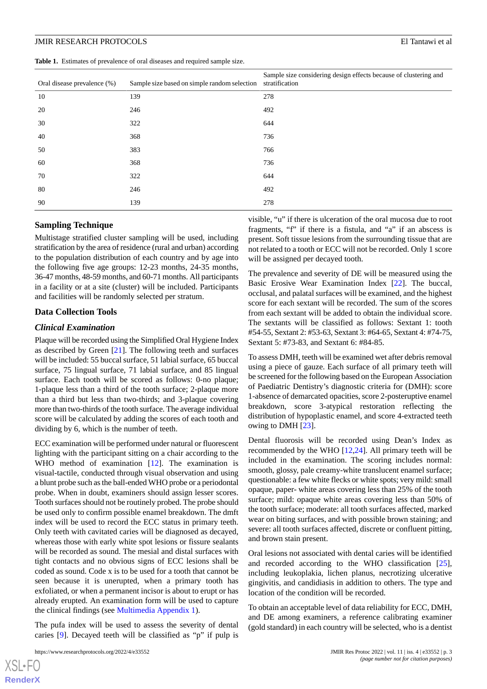<span id="page-2-0"></span>**Table 1.** Estimates of prevalence of oral diseases and required sample size.

| Oral disease prevalence (%) | Sample size based on simple random selection | Sample size considering design effects because of clustering and<br>stratification |
|-----------------------------|----------------------------------------------|------------------------------------------------------------------------------------|
| 10                          | 139                                          | 278                                                                                |
| 20                          | 246                                          | 492                                                                                |
| 30                          | 322                                          | 644                                                                                |
| 40                          | 368                                          | 736                                                                                |
| 50                          | 383                                          | 766                                                                                |
| 60                          | 368                                          | 736                                                                                |
| 70                          | 322                                          | 644                                                                                |
| 80                          | 246                                          | 492                                                                                |
| 90                          | 139                                          | 278                                                                                |

#### **Sampling Technique**

Multistage stratified cluster sampling will be used, including stratification by the area of residence (rural and urban) according to the population distribution of each country and by age into the following five age groups: 12-23 months, 24-35 months, 36-47 months, 48-59 months, and 60-71 months. All participants in a facility or at a site (cluster) will be included. Participants and facilities will be randomly selected per stratum.

#### **Data Collection Tools**

#### *Clinical Examination*

Plaque will be recorded using the Simplified Oral Hygiene Index as described by Green [\[21](#page-6-5)]. The following teeth and surfaces will be included: 55 buccal surface, 51 labial surface, 65 buccal surface, 75 lingual surface, 71 labial surface, and 85 lingual surface. Each tooth will be scored as follows: 0-no plaque; 1-plaque less than a third of the tooth surface; 2-plaque more than a third but less than two-thirds; and 3-plaque covering more than two-thirds of the tooth surface. The average individual score will be calculated by adding the scores of each tooth and dividing by 6, which is the number of teeth.

ECC examination will be performed under natural or fluorescent lighting with the participant sitting on a chair according to the WHO method of examination [\[12](#page-5-11)]. The examination is visual-tactile, conducted through visual observation and using a blunt probe such as the ball-ended WHO probe or a periodontal probe. When in doubt, examiners should assign lesser scores. Tooth surfaces should not be routinely probed. The probe should be used only to confirm possible enamel breakdown. The dmft index will be used to record the ECC status in primary teeth. Only teeth with cavitated caries will be diagnosed as decayed, whereas those with early white spot lesions or fissure sealants will be recorded as sound. The mesial and distal surfaces with tight contacts and no obvious signs of ECC lesions shall be coded as sound. Code x is to be used for a tooth that cannot be seen because it is unerupted, when a primary tooth has exfoliated, or when a permanent incisor is about to erupt or has already erupted. An examination form will be used to capture the clinical findings (see [Multimedia Appendix 1\)](#page-5-14).

The pufa index will be used to assess the severity of dental caries [[9\]](#page-5-8). Decayed teeth will be classified as "p" if pulp is

 $XS$  • FC **[RenderX](http://www.renderx.com/)** visible, "u" if there is ulceration of the oral mucosa due to root fragments, "f" if there is a fistula, and "a" if an abscess is present. Soft tissue lesions from the surrounding tissue that are not related to a tooth or ECC will not be recorded. Only 1 score will be assigned per decayed tooth.

The prevalence and severity of DE will be measured using the Basic Erosive Wear Examination Index [[22\]](#page-6-6). The buccal, occlusal, and palatal surfaces will be examined, and the highest score for each sextant will be recorded. The sum of the scores from each sextant will be added to obtain the individual score. The sextants will be classified as follows: Sextant 1: tooth #54-55, Sextant 2: #53-63, Sextant 3: #64-65, Sextant 4: #74-75, Sextant 5: #73-83, and Sextant 6: #84-85.

To assess DMH, teeth will be examined wet after debris removal using a piece of gauze. Each surface of all primary teeth will be screened for the following based on the European Association of Paediatric Dentistry's diagnostic criteria for (DMH): score 1-absence of demarcated opacities, score 2-posteruptive enamel breakdown, score 3-atypical restoration reflecting the distribution of hypoplastic enamel, and score 4-extracted teeth owing to DMH [\[23](#page-6-7)].

Dental fluorosis will be recorded using Dean's Index as recommended by the WHO [\[12](#page-5-11),[24\]](#page-6-8). All primary teeth will be included in the examination. The scoring includes normal: smooth, glossy, pale creamy-white translucent enamel surface; questionable: a few white flecks or white spots; very mild: small opaque, paper- white areas covering less than 25% of the tooth surface; mild: opaque white areas covering less than 50% of the tooth surface; moderate: all tooth surfaces affected, marked wear on biting surfaces, and with possible brown staining; and severe: all tooth surfaces affected, discrete or confluent pitting, and brown stain present.

Oral lesions not associated with dental caries will be identified and recorded according to the WHO classification [[25\]](#page-6-9), including leukoplakia, lichen planus, necrotizing ulcerative gingivitis, and candidiasis in addition to others. The type and location of the condition will be recorded.

To obtain an acceptable level of data reliability for ECC, DMH, and DE among examiners, a reference calibrating examiner (gold standard) in each country will be selected, who is a dentist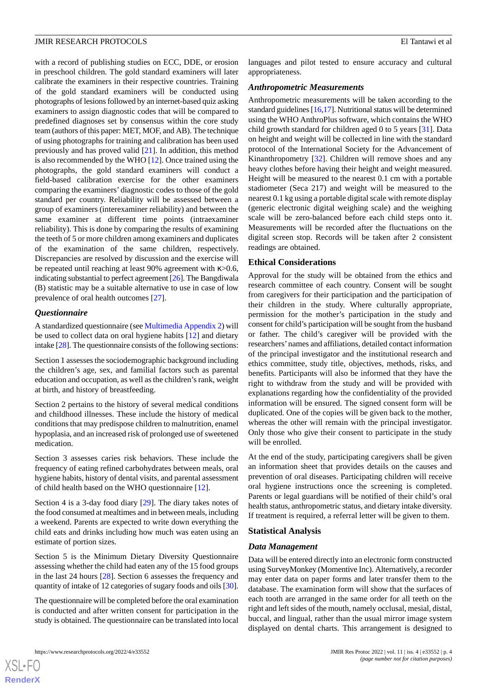with a record of publishing studies on ECC, DDE, or erosion in preschool children. The gold standard examiners will later calibrate the examiners in their respective countries. Training of the gold standard examiners will be conducted using photographs of lesions followed by an internet-based quiz asking examiners to assign diagnostic codes that will be compared to predefined diagnoses set by consensus within the core study team (authors of this paper: MET, MOF, and AB). The technique of using photographs for training and calibration has been used previously and has proved valid [[21\]](#page-6-5). In addition, this method is also recommended by the WHO [\[12](#page-5-11)]. Once trained using the photographs, the gold standard examiners will conduct a field-based calibration exercise for the other examiners comparing the examiners' diagnostic codes to those of the gold standard per country. Reliability will be assessed between a group of examiners (interexaminer reliability) and between the same examiner at different time points (intraexaminer reliability). This is done by comparing the results of examining the teeth of 5 or more children among examiners and duplicates of the examination of the same children, respectively. Discrepancies are resolved by discussion and the exercise will be repeated until reaching at least 90% agreement with κ>0.6, indicating substantial to perfect agreement [[26](#page-6-10)]. The Bangdiwala (B) statistic may be a suitable alternative to use in case of low prevalence of oral health outcomes [[27\]](#page-6-11).

#### *Questionnaire*

A standardized questionnaire (see [Multimedia Appendix 2](#page-5-15)) will be used to collect data on oral hygiene habits [[12\]](#page-5-11) and dietary intake [[28](#page-6-12)]. The questionnaire consists of the following sections:

Section 1 assesses the sociodemographic background including the children's age, sex, and familial factors such as parental education and occupation, as well as the children's rank, weight at birth, and history of breastfeeding.

Section 2 pertains to the history of several medical conditions and childhood illnesses. These include the history of medical conditions that may predispose children to malnutrition, enamel hypoplasia, and an increased risk of prolonged use of sweetened medication.

Section 3 assesses caries risk behaviors. These include the frequency of eating refined carbohydrates between meals, oral hygiene habits, history of dental visits, and parental assessment of child health based on the WHO questionnaire [\[12](#page-5-11)].

Section 4 is a 3-day food diary [[29\]](#page-6-13). The diary takes notes of the food consumed at mealtimes and in between meals, including a weekend. Parents are expected to write down everything the child eats and drinks including how much was eaten using an estimate of portion sizes.

Section 5 is the Minimum Dietary Diversity Questionnaire assessing whether the child had eaten any of the 15 food groups in the last 24 hours [\[28](#page-6-12)]. Section 6 assesses the frequency and quantity of intake of 12 categories of sugary foods and oils [[30\]](#page-6-14).

The questionnaire will be completed before the oral examination is conducted and after written consent for participation in the study is obtained. The questionnaire can be translated into local

languages and pilot tested to ensure accuracy and cultural appropriateness.

#### *Anthropometric Measurements*

Anthropometric measurements will be taken according to the standard guidelines [\[16](#page-6-1)[,17](#page-6-15)]. Nutritional status will be determined using the WHO AnthroPlus software, which contains the WHO child growth standard for children aged 0 to 5 years [[31\]](#page-6-16). Data on height and weight will be collected in line with the standard protocol of the International Society for the Advancement of Kinanthropometry [\[32](#page-6-17)]. Children will remove shoes and any heavy clothes before having their height and weight measured. Height will be measured to the nearest 0.1 cm with a portable stadiometer (Seca 217) and weight will be measured to the nearest 0.1 kg using a portable digital scale with remote display (generic electronic digital weighing scale) and the weighing scale will be zero-balanced before each child steps onto it. Measurements will be recorded after the fluctuations on the digital screen stop. Records will be taken after 2 consistent readings are obtained.

#### **Ethical Considerations**

Approval for the study will be obtained from the ethics and research committee of each country. Consent will be sought from caregivers for their participation and the participation of their children in the study. Where culturally appropriate, permission for the mother's participation in the study and consent for child's participation will be sought from the husband or father. The child's caregiver will be provided with the researchers'names and affiliations, detailed contact information of the principal investigator and the institutional research and ethics committee, study title, objectives, methods, risks, and benefits. Participants will also be informed that they have the right to withdraw from the study and will be provided with explanations regarding how the confidentiality of the provided information will be ensured. The signed consent form will be duplicated. One of the copies will be given back to the mother, whereas the other will remain with the principal investigator. Only those who give their consent to participate in the study will be enrolled.

At the end of the study, participating caregivers shall be given an information sheet that provides details on the causes and prevention of oral diseases. Participating children will receive oral hygiene instructions once the screening is completed. Parents or legal guardians will be notified of their child's oral health status, anthropometric status, and dietary intake diversity. If treatment is required, a referral letter will be given to them.

#### **Statistical Analysis**

#### *Data Management*

Data will be entered directly into an electronic form constructed using SurveyMonkey (Momentive Inc). Alternatively, a recorder may enter data on paper forms and later transfer them to the database. The examination form will show that the surfaces of each tooth are arranged in the same order for all teeth on the right and left sides of the mouth, namely occlusal, mesial, distal, buccal, and lingual, rather than the usual mirror image system displayed on dental charts. This arrangement is designed to

 $XS$  $\cdot$ FC **[RenderX](http://www.renderx.com/)**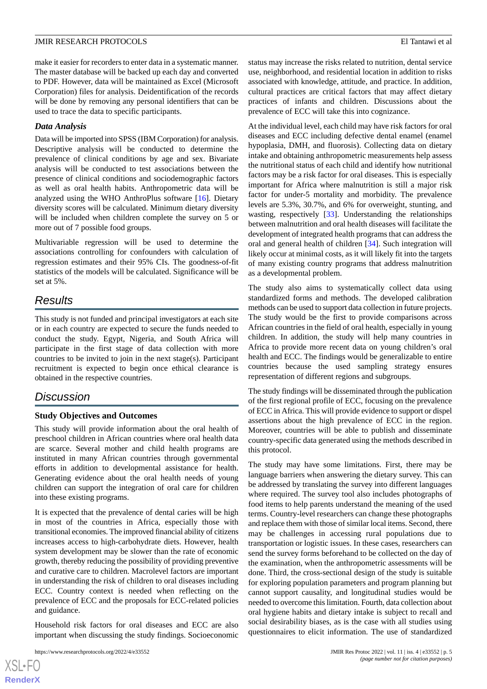make it easier for recorders to enter data in a systematic manner. The master database will be backed up each day and converted to PDF. However, data will be maintained as Excel (Microsoft Corporation) files for analysis. Deidentification of the records will be done by removing any personal identifiers that can be used to trace the data to specific participants.

### *Data Analysis*

Data will be imported into SPSS (IBM Corporation) for analysis. Descriptive analysis will be conducted to determine the prevalence of clinical conditions by age and sex. Bivariate analysis will be conducted to test associations between the presence of clinical conditions and sociodemographic factors as well as oral health habits. Anthropometric data will be analyzed using the WHO AnthroPlus software [[16\]](#page-6-1). Dietary diversity scores will be calculated. Minimum dietary diversity will be included when children complete the survey on 5 or more out of 7 possible food groups.

Multivariable regression will be used to determine the associations controlling for confounders with calculation of regression estimates and their 95% CIs. The goodness-of-fit statistics of the models will be calculated. Significance will be set at 5%.

# *Results*

This study is not funded and principal investigators at each site or in each country are expected to secure the funds needed to conduct the study. Egypt, Nigeria, and South Africa will participate in the first stage of data collection with more countries to be invited to join in the next stage(s). Participant recruitment is expected to begin once ethical clearance is obtained in the respective countries.

# *Discussion*

# **Study Objectives and Outcomes**

This study will provide information about the oral health of preschool children in African countries where oral health data are scarce. Several mother and child health programs are instituted in many African countries through governmental efforts in addition to developmental assistance for health. Generating evidence about the oral health needs of young children can support the integration of oral care for children into these existing programs.

It is expected that the prevalence of dental caries will be high in most of the countries in Africa, especially those with transitional economies. The improved financial ability of citizens increases access to high-carbohydrate diets. However, health system development may be slower than the rate of economic growth, thereby reducing the possibility of providing preventive and curative care to children. Macrolevel factors are important in understanding the risk of children to oral diseases including ECC. Country context is needed when reflecting on the prevalence of ECC and the proposals for ECC-related policies and guidance.

Household risk factors for oral diseases and ECC are also important when discussing the study findings. Socioeconomic status may increase the risks related to nutrition, dental service use, neighborhood, and residential location in addition to risks associated with knowledge, attitude, and practice. In addition, cultural practices are critical factors that may affect dietary practices of infants and children. Discussions about the prevalence of ECC will take this into cognizance.

At the individual level, each child may have risk factors for oral diseases and ECC including defective dental enamel (enamel hypoplasia, DMH, and fluorosis). Collecting data on dietary intake and obtaining anthropometric measurements help assess the nutritional status of each child and identify how nutritional factors may be a risk factor for oral diseases. This is especially important for Africa where malnutrition is still a major risk factor for under-5 mortality and morbidity. The prevalence levels are 5.3%, 30.7%, and 6% for overweight, stunting, and wasting, respectively [[33\]](#page-6-18). Understanding the relationships between malnutrition and oral health diseases will facilitate the development of integrated health programs that can address the oral and general health of children [\[34](#page-6-19)]. Such integration will likely occur at minimal costs, as it will likely fit into the targets of many existing country programs that address malnutrition as a developmental problem.

The study also aims to systematically collect data using standardized forms and methods. The developed calibration methods can be used to support data collection in future projects. The study would be the first to provide comparisons across African countries in the field of oral health, especially in young children. In addition, the study will help many countries in Africa to provide more recent data on young children's oral health and ECC. The findings would be generalizable to entire countries because the used sampling strategy ensures representation of different regions and subgroups.

The study findings will be disseminated through the publication of the first regional profile of ECC, focusing on the prevalence of ECC in Africa. This will provide evidence to support or dispel assertions about the high prevalence of ECC in the region. Moreover, countries will be able to publish and disseminate country-specific data generated using the methods described in this protocol.

The study may have some limitations. First, there may be language barriers when answering the dietary survey. This can be addressed by translating the survey into different languages where required. The survey tool also includes photographs of food items to help parents understand the meaning of the used terms. Country-level researchers can change these photographs and replace them with those of similar local items. Second, there may be challenges in accessing rural populations due to transportation or logistic issues. In these cases, researchers can send the survey forms beforehand to be collected on the day of the examination, when the anthropometric assessments will be done. Third, the cross-sectional design of the study is suitable for exploring population parameters and program planning but cannot support causality, and longitudinal studies would be needed to overcome this limitation. Fourth, data collection about oral hygiene habits and dietary intake is subject to recall and social desirability biases, as is the case with all studies using questionnaires to elicit information. The use of standardized

```
XS • FC
RenderX
```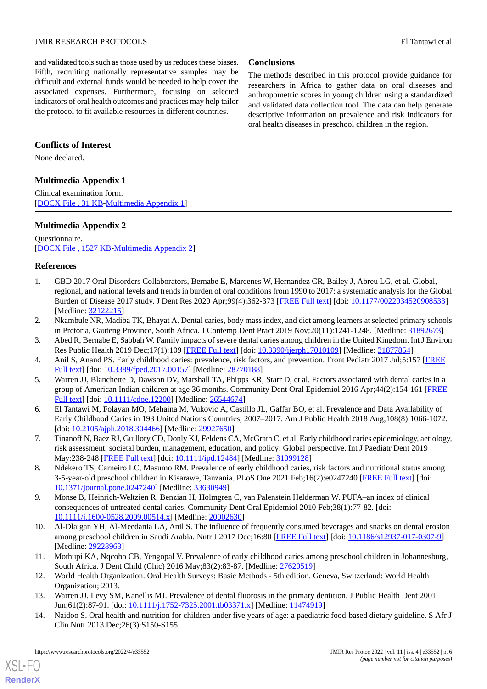and validated tools such as those used by us reduces these biases. Fifth, recruiting nationally representative samples may be difficult and external funds would be needed to help cover the associated expenses. Furthermore, focusing on selected indicators of oral health outcomes and practices may help tailor the protocol to fit available resources in different countries.

# **Conclusions**

The methods described in this protocol provide guidance for researchers in Africa to gather data on oral diseases and anthropometric scores in young children using a standardized and validated data collection tool. The data can help generate descriptive information on prevalence and risk indicators for oral health diseases in preschool children in the region.

# **Conflicts of Interest**

<span id="page-5-14"></span>None declared.

# **Multimedia Appendix 1**

<span id="page-5-15"></span>Clinical examination form. [[DOCX File , 31 KB](https://jmir.org/api/download?alt_name=resprot_v11i4e33552_app1.docx&filename=e2442bd5dc9e4ff0c828ee0c3d776ea1.docx)-[Multimedia Appendix 1\]](https://jmir.org/api/download?alt_name=resprot_v11i4e33552_app1.docx&filename=e2442bd5dc9e4ff0c828ee0c3d776ea1.docx)

# **Multimedia Appendix 2**

Questionnaire. [[DOCX File , 1527 KB](https://jmir.org/api/download?alt_name=resprot_v11i4e33552_app2.docx&filename=d2ef2af2d21c3000a203b450654efa3d.docx)-[Multimedia Appendix 2\]](https://jmir.org/api/download?alt_name=resprot_v11i4e33552_app2.docx&filename=d2ef2af2d21c3000a203b450654efa3d.docx)

### <span id="page-5-0"></span>**References**

- <span id="page-5-1"></span>1. GBD 2017 Oral Disorders Collaborators, Bernabe E, Marcenes W, Hernandez CR, Bailey J, Abreu LG, et al. Global, regional, and national levels and trends in burden of oral conditions from 1990 to 2017: a systematic analysis for the Global Burden of Disease 2017 study. J Dent Res 2020 Apr;99(4):362-373 [[FREE Full text](https://journals.sagepub.com/doi/10.1177/0022034520908533?url_ver=Z39.88-2003&rfr_id=ori:rid:crossref.org&rfr_dat=cr_pub%3dpubmed)] [doi: [10.1177/0022034520908533\]](http://dx.doi.org/10.1177/0022034520908533) [Medline: [32122215](http://www.ncbi.nlm.nih.gov/entrez/query.fcgi?cmd=Retrieve&db=PubMed&list_uids=32122215&dopt=Abstract)]
- <span id="page-5-3"></span><span id="page-5-2"></span>2. Nkambule NR, Madiba TK, Bhayat A. Dental caries, body mass index, and diet among learners at selected primary schools in Pretoria, Gauteng Province, South Africa. J Contemp Dent Pract 2019 Nov;20(11):1241-1248. [Medline: [31892673](http://www.ncbi.nlm.nih.gov/entrez/query.fcgi?cmd=Retrieve&db=PubMed&list_uids=31892673&dopt=Abstract)]
- <span id="page-5-4"></span>3. Abed R, Bernabe E, Sabbah W. Family impacts of severe dental caries among children in the United Kingdom. Int J Environ Res Public Health 2019 Dec;17(1):109 [[FREE Full text](https://www.mdpi.com/resolver?pii=ijerph17010109)] [doi: [10.3390/ijerph17010109](http://dx.doi.org/10.3390/ijerph17010109)] [Medline: [31877854\]](http://www.ncbi.nlm.nih.gov/entrez/query.fcgi?cmd=Retrieve&db=PubMed&list_uids=31877854&dopt=Abstract)
- <span id="page-5-5"></span>4. Anil S, Anand PS. Early childhood caries: prevalence, risk factors, and prevention. Front Pediatr 2017 Jul;5:157 [\[FREE](https://doi.org/10.3389/fped.2017.00157) [Full text\]](https://doi.org/10.3389/fped.2017.00157) [doi: [10.3389/fped.2017.00157](http://dx.doi.org/10.3389/fped.2017.00157)] [Medline: [28770188](http://www.ncbi.nlm.nih.gov/entrez/query.fcgi?cmd=Retrieve&db=PubMed&list_uids=28770188&dopt=Abstract)]
- 5. Warren JJ, Blanchette D, Dawson DV, Marshall TA, Phipps KR, Starr D, et al. Factors associated with dental caries in a group of American Indian children at age 36 months. Community Dent Oral Epidemiol 2016 Apr;44(2):154-161 [[FREE](http://europepmc.org/abstract/MED/26544674) [Full text\]](http://europepmc.org/abstract/MED/26544674) [doi: [10.1111/cdoe.12200\]](http://dx.doi.org/10.1111/cdoe.12200) [Medline: [26544674\]](http://www.ncbi.nlm.nih.gov/entrez/query.fcgi?cmd=Retrieve&db=PubMed&list_uids=26544674&dopt=Abstract)
- <span id="page-5-7"></span><span id="page-5-6"></span>6. El Tantawi M, Folayan MO, Mehaina M, Vukovic A, Castillo JL, Gaffar BO, et al. Prevalence and Data Availability of Early Childhood Caries in 193 United Nations Countries, 2007–2017. Am J Public Health 2018 Aug;108(8):1066-1072. [doi: [10.2105/ajph.2018.304466](http://dx.doi.org/10.2105/ajph.2018.304466)] [Medline: [29927650](http://www.ncbi.nlm.nih.gov/entrez/query.fcgi?cmd=Retrieve&db=PubMed&list_uids=29927650&dopt=Abstract)]
- <span id="page-5-8"></span>7. Tinanoff N, Baez RJ, Guillory CD, Donly KJ, Feldens CA, McGrath C, et al. Early childhood caries epidemiology, aetiology, risk assessment, societal burden, management, education, and policy: Global perspective. Int J Paediatr Dent 2019 May:238-248 [[FREE Full text](https://doi.org/10.1111/ipd.12484)] [doi: [10.1111/ipd.12484\]](http://dx.doi.org/10.1111/ipd.12484) [Medline: [31099128\]](http://www.ncbi.nlm.nih.gov/entrez/query.fcgi?cmd=Retrieve&db=PubMed&list_uids=31099128&dopt=Abstract)
- <span id="page-5-9"></span>8. Ndekero TS, Carneiro LC, Masumo RM. Prevalence of early childhood caries, risk factors and nutritional status among 3-5-year-old preschool children in Kisarawe, Tanzania. PLoS One 2021 Feb;16(2):e0247240 [\[FREE Full text\]](https://dx.plos.org/10.1371/journal.pone.0247240) [doi: [10.1371/journal.pone.0247240\]](http://dx.doi.org/10.1371/journal.pone.0247240) [Medline: [33630949](http://www.ncbi.nlm.nih.gov/entrez/query.fcgi?cmd=Retrieve&db=PubMed&list_uids=33630949&dopt=Abstract)]
- <span id="page-5-10"></span>9. Monse B, Heinrich-Weltzien R, Benzian H, Holmgren C, van Palenstein Helderman W. PUFA–an index of clinical consequences of untreated dental caries. Community Dent Oral Epidemiol 2010 Feb;38(1):77-82. [doi: [10.1111/j.1600-0528.2009.00514.x\]](http://dx.doi.org/10.1111/j.1600-0528.2009.00514.x) [Medline: [20002630\]](http://www.ncbi.nlm.nih.gov/entrez/query.fcgi?cmd=Retrieve&db=PubMed&list_uids=20002630&dopt=Abstract)
- <span id="page-5-12"></span><span id="page-5-11"></span>10. Al-Dlaigan YH, Al-Meedania LA, Anil S. The influence of frequently consumed beverages and snacks on dental erosion among preschool children in Saudi Arabia. Nutr J 2017 Dec;16:80 [[FREE Full text](https://nutritionj.biomedcentral.com/articles/10.1186/s12937-017-0307-9)] [doi: [10.1186/s12937-017-0307-9\]](http://dx.doi.org/10.1186/s12937-017-0307-9) [Medline: [29228963](http://www.ncbi.nlm.nih.gov/entrez/query.fcgi?cmd=Retrieve&db=PubMed&list_uids=29228963&dopt=Abstract)]
- <span id="page-5-13"></span>11. Mothupi KA, Nqcobo CB, Yengopal V. Prevalence of early childhood caries among preschool children in Johannesburg, South Africa. J Dent Child (Chic) 2016 May;83(2):83-87. [Medline: [27620519](http://www.ncbi.nlm.nih.gov/entrez/query.fcgi?cmd=Retrieve&db=PubMed&list_uids=27620519&dopt=Abstract)]
- 12. World Health Organization. Oral Health Surveys: Basic Methods 5th edition. Geneva, Switzerland: World Health Organization; 2013.
- 13. Warren JJ, Levy SM, Kanellis MJ. Prevalence of dental fluorosis in the primary dentition. J Public Health Dent 2001 Jun;61(2):87-91. [doi: [10.1111/j.1752-7325.2001.tb03371.x](http://dx.doi.org/10.1111/j.1752-7325.2001.tb03371.x)] [Medline: [11474919](http://www.ncbi.nlm.nih.gov/entrez/query.fcgi?cmd=Retrieve&db=PubMed&list_uids=11474919&dopt=Abstract)]
- 14. Naidoo S. Oral health and nutrition for children under five years of age: a paediatric food-based dietary guideline. S Afr J Clin Nutr 2013 Dec;26(3):S150-S155.

[XSL](http://www.w3.org/Style/XSL)•FO **[RenderX](http://www.renderx.com/)**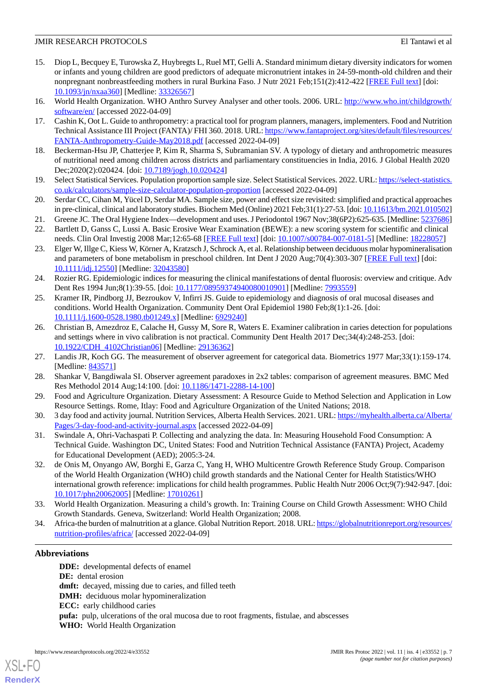- <span id="page-6-0"></span>15. Diop L, Becquey E, Turowska Z, Huybregts L, Ruel MT, Gelli A. Standard minimum dietary diversity indicators for women or infants and young children are good predictors of adequate micronutrient intakes in 24-59-month-old children and their nonpregnant nonbreastfeeding mothers in rural Burkina Faso. J Nutr 2021 Feb;151(2):412-422 [\[FREE Full text\]](http://europepmc.org/abstract/MED/33326567) [doi: [10.1093/jn/nxaa360](http://dx.doi.org/10.1093/jn/nxaa360)] [Medline: [33326567](http://www.ncbi.nlm.nih.gov/entrez/query.fcgi?cmd=Retrieve&db=PubMed&list_uids=33326567&dopt=Abstract)]
- <span id="page-6-15"></span><span id="page-6-1"></span>16. World Health Organization. WHO Anthro Survey Analyser and other tools. 2006. URL: [http://www.who.int/childgrowth/](http://www.who.int/childgrowth/software/en/) [software/en/](http://www.who.int/childgrowth/software/en/) [accessed 2022-04-09]
- <span id="page-6-2"></span>17. Cashin K, Oot L. Guide to anthropometry: a practical tool for program planners, managers, implementers. Food and Nutrition Technical Assistance III Project (FANTA)/ FHI 360. 2018. URL: [https://www.fantaproject.org/sites/default/files/resources/](https://www.fantaproject.org/sites/default/files/resources/FANTA-Anthropometry-Guide-May2018.pdf) [FANTA-Anthropometry-Guide-May2018.pdf](https://www.fantaproject.org/sites/default/files/resources/FANTA-Anthropometry-Guide-May2018.pdf) [accessed 2022-04-09]
- <span id="page-6-3"></span>18. Beckerman-Hsu JP, Chatterjee P, Kim R, Sharma S, Subramanian SV. A typology of dietary and anthropometric measures of nutritional need among children across districts and parliamentary constituencies in India, 2016. J Global Health 2020 Dec;2020(2):020424. [doi: [10.7189/jogh.10.020424](http://dx.doi.org/10.7189/jogh.10.020424)]
- <span id="page-6-4"></span>19. Select Statistical Services. Population proportion sample size. Select Statistical Services. 2022. URL: [https://select-statistics.](https://select-statistics.co.uk/calculators/sample-size-calculator-population-proportion) [co.uk/calculators/sample-size-calculator-population-proportion](https://select-statistics.co.uk/calculators/sample-size-calculator-population-proportion) [accessed 2022-04-09]
- <span id="page-6-6"></span><span id="page-6-5"></span>20. Serdar CC, Cihan M, Yücel D, Serdar MA. Sample size, power and effect size revisited: simplified and practical approaches in pre-clinical, clinical and laboratory studies. Biochem Med (Online) 2021 Feb;31(1):27-53. [doi: [10.11613/bm.2021.010502\]](http://dx.doi.org/10.11613/bm.2021.010502)
- <span id="page-6-7"></span>21. Greene JC. The Oral Hygiene Index—development and uses. J Periodontol 1967 Nov;38(6P2):625-635. [Medline: [5237686\]](http://www.ncbi.nlm.nih.gov/entrez/query.fcgi?cmd=Retrieve&db=PubMed&list_uids=5237686&dopt=Abstract) 22. Bartlett D, Ganss C, Lussi A. Basic Erosive Wear Examination (BEWE): a new scoring system for scientific and clinical needs. Clin Oral Investig 2008 Mar;12:65-68 [\[FREE Full text\]](http://europepmc.org/abstract/MED/18228057) [doi: [10.1007/s00784-007-0181-5](http://dx.doi.org/10.1007/s00784-007-0181-5)] [Medline: [18228057\]](http://www.ncbi.nlm.nih.gov/entrez/query.fcgi?cmd=Retrieve&db=PubMed&list_uids=18228057&dopt=Abstract)
- <span id="page-6-8"></span>23. Elger W, Illge C, Kiess W, Körner A, Kratzsch J, Schrock A, et al. Relationship between deciduous molar hypomineralisation and parameters of bone metabolism in preschool children. Int Dent J 2020 Aug;70(4):303-307 [\[FREE Full text\]](https://doi.org/10.1111/idj.12550) [doi: [10.1111/idj.12550\]](http://dx.doi.org/10.1111/idj.12550) [Medline: [32043580\]](http://www.ncbi.nlm.nih.gov/entrez/query.fcgi?cmd=Retrieve&db=PubMed&list_uids=32043580&dopt=Abstract)
- <span id="page-6-9"></span>24. Rozier RG. Epidemiologic indices for measuring the clinical manifestations of dental fluorosis: overview and critique. Adv Dent Res 1994 Jun;8(1):39-55. [doi: [10.1177/08959374940080010901\]](http://dx.doi.org/10.1177/08959374940080010901) [Medline: [7993559](http://www.ncbi.nlm.nih.gov/entrez/query.fcgi?cmd=Retrieve&db=PubMed&list_uids=7993559&dopt=Abstract)]
- <span id="page-6-10"></span>25. Kramer IR, Pindborg JJ, Bezroukov V, Infirri JS. Guide to epidemiology and diagnosis of oral mucosal diseases and conditions. World Health Organization. Community Dent Oral Epidemiol 1980 Feb;8(1):1-26. [doi: [10.1111/j.1600-0528.1980.tb01249.x\]](http://dx.doi.org/10.1111/j.1600-0528.1980.tb01249.x) [Medline: [6929240](http://www.ncbi.nlm.nih.gov/entrez/query.fcgi?cmd=Retrieve&db=PubMed&list_uids=6929240&dopt=Abstract)]
- <span id="page-6-12"></span><span id="page-6-11"></span>26. Christian B, Amezdroz E, Calache H, Gussy M, Sore R, Waters E. Examiner calibration in caries detection for populations and settings where in vivo calibration is not practical. Community Dent Health 2017 Dec;34(4):248-253. [doi: [10.1922/CDH\\_4102Christian06\]](http://dx.doi.org/10.1922/CDH_4102Christian06) [Medline: [29136362](http://www.ncbi.nlm.nih.gov/entrez/query.fcgi?cmd=Retrieve&db=PubMed&list_uids=29136362&dopt=Abstract)]
- <span id="page-6-13"></span>27. Landis JR, Koch GG. The measurement of observer agreement for categorical data. Biometrics 1977 Mar;33(1):159-174. [Medline: [843571](http://www.ncbi.nlm.nih.gov/entrez/query.fcgi?cmd=Retrieve&db=PubMed&list_uids=843571&dopt=Abstract)]
- <span id="page-6-14"></span>28. Shankar V, Bangdiwala SI. Observer agreement paradoxes in 2x2 tables: comparison of agreement measures. BMC Med Res Methodol 2014 Aug;14:100. [doi: [10.1186/1471-2288-14-100](http://dx.doi.org/10.1186/1471-2288-14-100)]
- <span id="page-6-16"></span>29. Food and Agriculture Organization. Dietary Assessment: A Resource Guide to Method Selection and Application in Low Resource Settings. Rome, Itlay: Food and Agriculture Organization of the United Nations; 2018.
- <span id="page-6-17"></span>30. 3 day food and activity journal. Nutrition Services, Alberta Health Services. 2021. URL: [https://myhealth.alberta.ca/Alberta/](https://myhealth.alberta.ca/Alberta/Pages/3-day-food-and-activity-journal.aspx) [Pages/3-day-food-and-activity-journal.aspx](https://myhealth.alberta.ca/Alberta/Pages/3-day-food-and-activity-journal.aspx) [accessed 2022-04-09]
- 31. Swindale A, Ohri-Vachaspati P. Collecting and analyzing the data. In: Measuring Household Food Consumption: A Technical Guide. Washington DC, United States: Food and Nutrition Technical Assistance (FANTA) Project, Academy for Educational Development (AED); 2005:3-24.
- <span id="page-6-19"></span><span id="page-6-18"></span>32. de Onis M, Onyango AW, Borghi E, Garza C, Yang H, WHO Multicentre Growth Reference Study Group. Comparison of the World Health Organization (WHO) child growth standards and the National Center for Health Statistics/WHO international growth reference: implications for child health programmes. Public Health Nutr 2006 Oct;9(7):942-947. [doi: [10.1017/phn20062005\]](http://dx.doi.org/10.1017/phn20062005) [Medline: [17010261\]](http://www.ncbi.nlm.nih.gov/entrez/query.fcgi?cmd=Retrieve&db=PubMed&list_uids=17010261&dopt=Abstract)
- 33. World Health Organization. Measuring a child's growth. In: Training Course on Child Growth Assessment: WHO Child Growth Standards. Geneva, Switzerland: World Health Organization; 2008.
- 34. Africa-the burden of malnutrition at a glance. Global Nutrition Report. 2018. URL: [https://globalnutritionreport.org/resources/](https://globalnutritionreport.org/resources/nutrition-profiles/africa/) [nutrition-profiles/africa/](https://globalnutritionreport.org/resources/nutrition-profiles/africa/) [accessed 2022-04-09]

# **Abbreviations**

[XSL](http://www.w3.org/Style/XSL)•FO **[RenderX](http://www.renderx.com/)**

**DDE:** developmental defects of enamel **DE:** dental erosion dmft: decayed, missing due to caries, and filled teeth **DMH:** deciduous molar hypomineralization **ECC:** early childhood caries **pufa:** pulp, ulcerations of the oral mucosa due to root fragments, fistulae, and abscesses **WHO:** World Health Organization